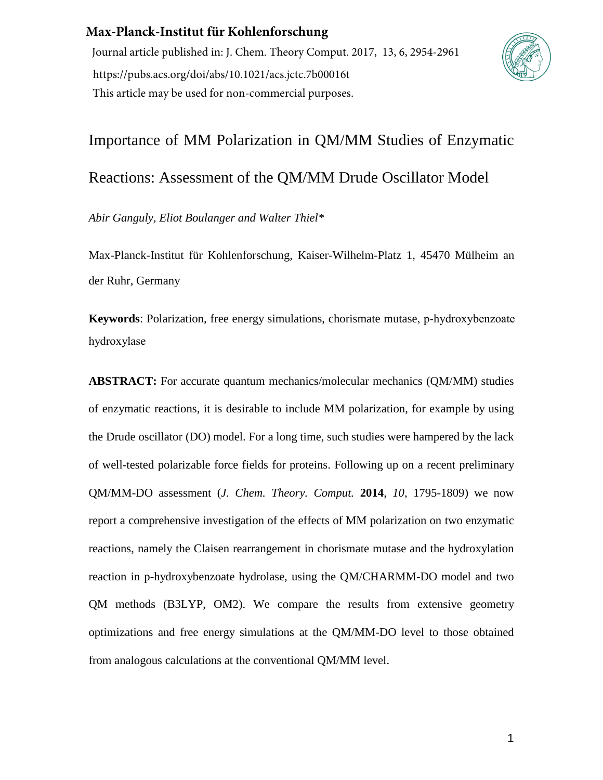## **Max-Planck-Institut für Kohlenforschung**

Journal article published in: J. Chem. Theory Comput. 2017, 13, 6, 2954-2961 https://pubs.acs.org/doi/abs/10.1021/acs.jctc.7b00016t This article may be used for non-commercial purposes.



# Importance of MM Polarization in QM/MM Studies of Enzymatic Reactions: Assessment of the QM/MM Drude Oscillator Model

*Abir Ganguly, Eliot Boulanger and Walter Thiel\** 

Max-Planck-Institut für Kohlenforschung, Kaiser-Wilhelm-Platz 1, 45470 Mülheim an der Ruhr, Germany

**Keywords**: Polarization, free energy simulations, chorismate mutase, p-hydroxybenzoate hydroxylase

**ABSTRACT:** For accurate quantum mechanics/molecular mechanics (QM/MM) studies of enzymatic reactions, it is desirable to include MM polarization, for example by using the Drude oscillator (DO) model. For a long time, such studies were hampered by the lack of well-tested polarizable force fields for proteins. Following up on a recent preliminary QM/MM-DO assessment (*J. Chem. Theory. Comput.* **2014**, *10*, 1795-1809) we now report a comprehensive investigation of the effects of MM polarization on two enzymatic reactions, namely the Claisen rearrangement in chorismate mutase and the hydroxylation reaction in p-hydroxybenzoate hydrolase, using the QM/CHARMM-DO model and two QM methods (B3LYP, OM2). We compare the results from extensive geometry optimizations and free energy simulations at the QM/MM-DO level to those obtained from analogous calculations at the conventional QM/MM level.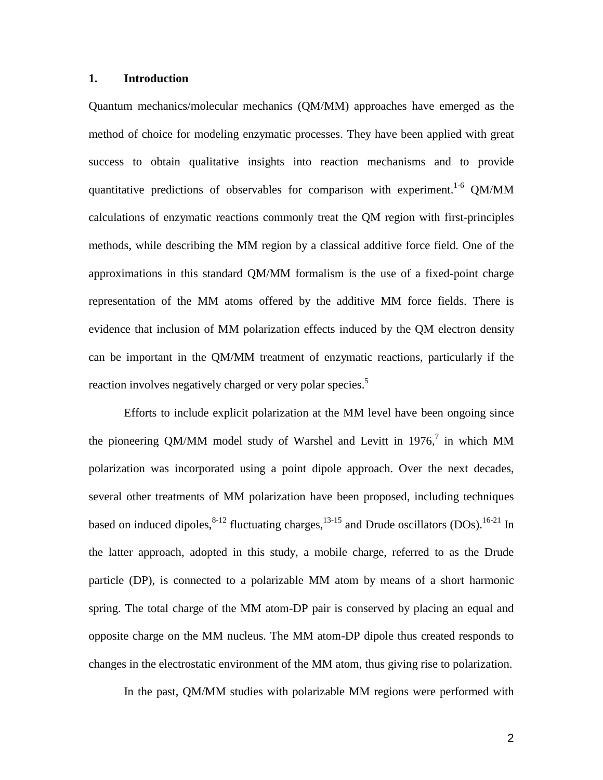#### **1. Introduction**

Quantum mechanics/molecular mechanics (QM/MM) approaches have emerged as the method of choice for modeling enzymatic processes. They have been applied with great success to obtain qualitative insights into reaction mechanisms and to provide quantitative predictions of observables for comparison with experiment.<sup>1-6</sup> QM/MM calculations of enzymatic reactions commonly treat the QM region with first-principles methods, while describing the MM region by a classical additive force field. One of the approximations in this standard QM/MM formalism is the use of a fixed-point charge representation of the MM atoms offered by the additive MM force fields. There is evidence that inclusion of MM polarization effects induced by the QM electron density can be important in the QM/MM treatment of enzymatic reactions, particularly if the reaction involves negatively charged or very polar species.<sup>5</sup>

Efforts to include explicit polarization at the MM level have been ongoing since the pioneering QM/MM model study of Warshel and Levitt in 1976, $^7$  in which MM polarization was incorporated using a point dipole approach. Over the next decades, several other treatments of MM polarization have been proposed, including techniques based on induced dipoles,  $8-12$  fluctuating charges,  $13-15$  and Drude oscillators (DOs).  $16-21$  In the latter approach, adopted in this study, a mobile charge, referred to as the Drude particle (DP), is connected to a polarizable MM atom by means of a short harmonic spring. The total charge of the MM atom-DP pair is conserved by placing an equal and opposite charge on the MM nucleus. The MM atom-DP dipole thus created responds to changes in the electrostatic environment of the MM atom, thus giving rise to polarization.

In the past, QM/MM studies with polarizable MM regions were performed with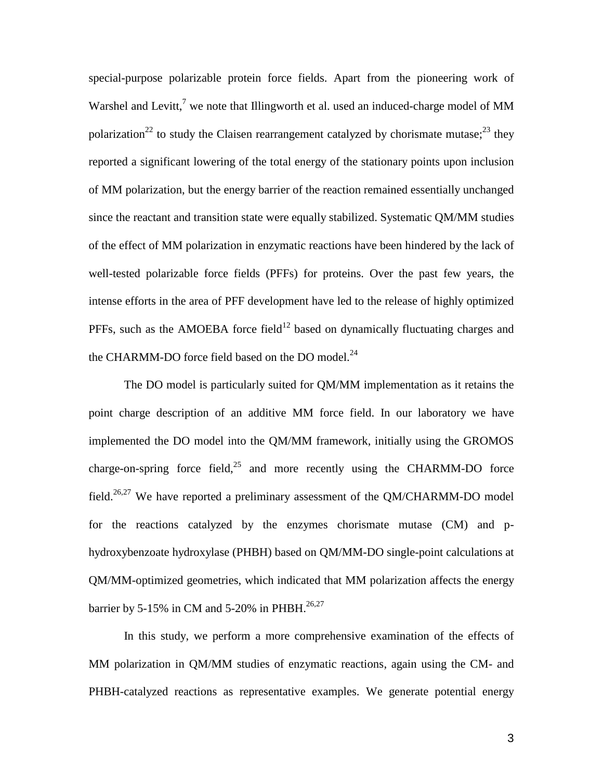special-purpose polarizable protein force fields. Apart from the pioneering work of Warshel and Levitt,<sup>7</sup> we note that Illingworth et al. used an induced-charge model of MM polarization<sup>22</sup> to study the Claisen rearrangement catalyzed by chorismate mutase;<sup>23</sup> they reported a significant lowering of the total energy of the stationary points upon inclusion of MM polarization, but the energy barrier of the reaction remained essentially unchanged since the reactant and transition state were equally stabilized. Systematic QM/MM studies of the effect of MM polarization in enzymatic reactions have been hindered by the lack of well-tested polarizable force fields (PFFs) for proteins. Over the past few years, the intense efforts in the area of PFF development have led to the release of highly optimized PFFs, such as the AMOEBA force field<sup>12</sup> based on dynamically fluctuating charges and the CHARMM-DO force field based on the DO model.<sup>24</sup>

The DO model is particularly suited for QM/MM implementation as it retains the point charge description of an additive MM force field. In our laboratory we have implemented the DO model into the QM/MM framework, initially using the GROMOS charge-on-spring force field,<sup>25</sup> and more recently using the CHARMM-DO force field.<sup>26,27</sup> We have reported a preliminary assessment of the QM/CHARMM-DO model for the reactions catalyzed by the enzymes chorismate mutase (CM) and phydroxybenzoate hydroxylase (PHBH) based on QM/MM-DO single-point calculations at QM/MM-optimized geometries, which indicated that MM polarization affects the energy barrier by 5-15% in CM and 5-20% in PHBH.<sup>26,27</sup>

In this study, we perform a more comprehensive examination of the effects of MM polarization in QM/MM studies of enzymatic reactions, again using the CM- and PHBH-catalyzed reactions as representative examples. We generate potential energy

3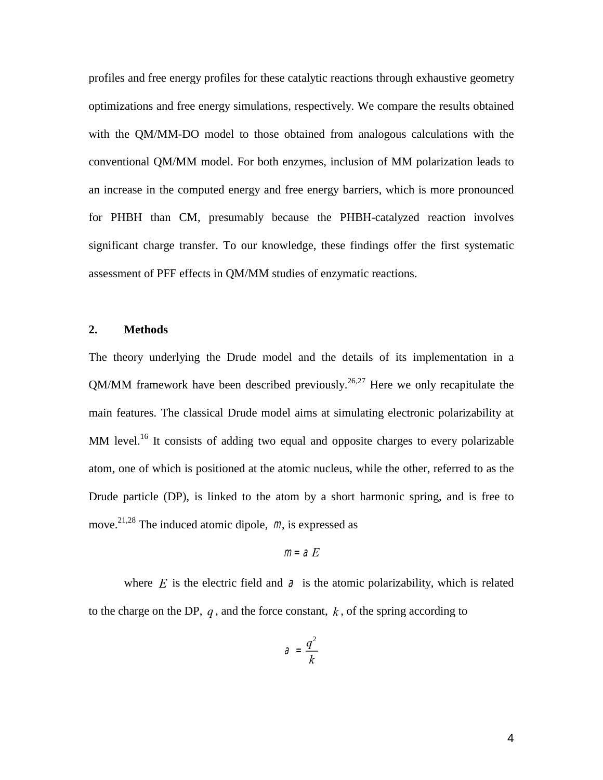profiles and free energy profiles for these catalytic reactions through exhaustive geometry optimizations and free energy simulations, respectively. We compare the results obtained with the QM/MM-DO model to those obtained from analogous calculations with the conventional QM/MM model. For both enzymes, inclusion of MM polarization leads to an increase in the computed energy and free energy barriers, which is more pronounced for PHBH than CM, presumably because the PHBH-catalyzed reaction involves significant charge transfer. To our knowledge, these findings offer the first systematic assessment of PFF effects in QM/MM studies of enzymatic reactions.

#### **2. Methods**

The theory underlying the Drude model and the details of its implementation in a QM/MM framework have been described previously.<sup>26,27</sup> Here we only recapitulate the main features. The classical Drude model aims at simulating electronic polarizability at MM level.<sup>16</sup> It consists of adding two equal and opposite charges to every polarizable atom, one of which is positioned at the atomic nucleus, while the other, referred to as the Drude particle (DP), is linked to the atom by a short harmonic spring, and is free to move.<sup>21,28</sup> The induced atomic dipole,  $m$ , is expressed as

$$
m = aE
$$

where  $E$  is the electric field and  $\partial$  is the atomic polarizability, which is related to the charge on the DP,  $q$ , and the force constant,  $k$ , of the spring according to

$$
\mathcal{A} = \frac{q^2}{k}
$$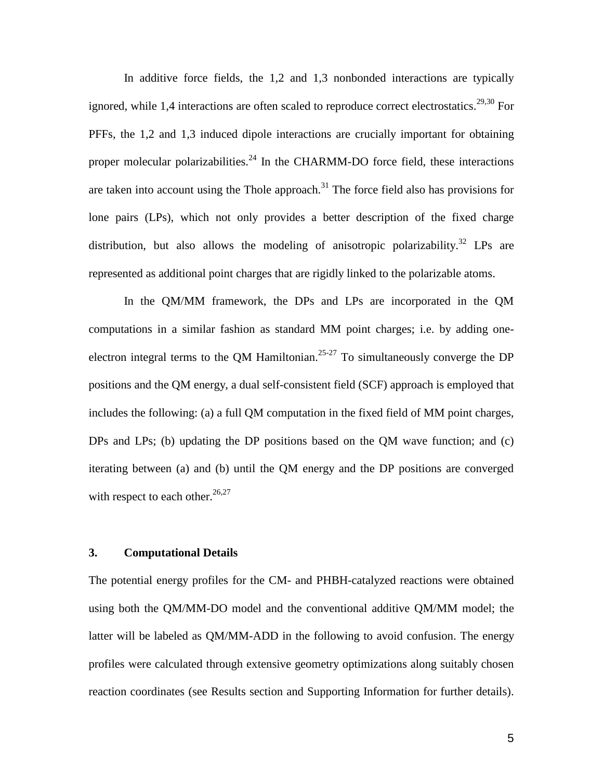In additive force fields, the 1,2 and 1,3 nonbonded interactions are typically ignored, while 1,4 interactions are often scaled to reproduce correct electrostatics.<sup>29,30</sup> For PFFs, the 1,2 and 1,3 induced dipole interactions are crucially important for obtaining proper molecular polarizabilities.<sup>24</sup> In the CHARMM-DO force field, these interactions are taken into account using the Thole approach.<sup>31</sup> The force field also has provisions for lone pairs (LPs), which not only provides a better description of the fixed charge distribution, but also allows the modeling of anisotropic polarizability.<sup>32</sup> LPs are represented as additional point charges that are rigidly linked to the polarizable atoms.

In the QM/MM framework, the DPs and LPs are incorporated in the QM computations in a similar fashion as standard MM point charges; i.e. by adding oneelectron integral terms to the QM Hamiltonian.<sup>25-27</sup> To simultaneously converge the DP positions and the QM energy, a dual self-consistent field (SCF) approach is employed that includes the following: (a) a full QM computation in the fixed field of MM point charges, DPs and LPs; (b) updating the DP positions based on the QM wave function; and (c) iterating between (a) and (b) until the QM energy and the DP positions are converged with respect to each other. $26,27$ 

#### **3. Computational Details**

The potential energy profiles for the CM- and PHBH-catalyzed reactions were obtained using both the QM/MM-DO model and the conventional additive QM/MM model; the latter will be labeled as QM/MM-ADD in the following to avoid confusion. The energy profiles were calculated through extensive geometry optimizations along suitably chosen reaction coordinates (see Results section and Supporting Information for further details).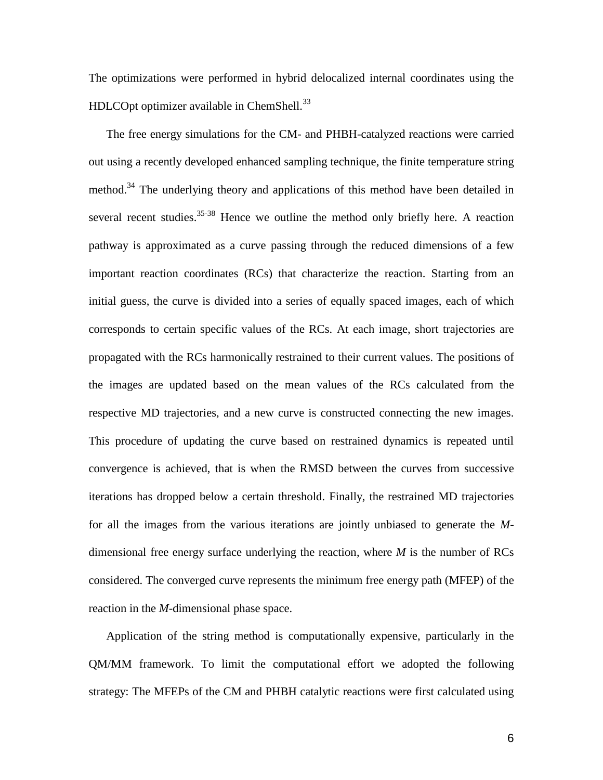The optimizations were performed in hybrid delocalized internal coordinates using the HDLCOpt optimizer available in ChemShell. $^{33}$ 

The free energy simulations for the CM- and PHBH-catalyzed reactions were carried out using a recently developed enhanced sampling technique, the finite temperature string method.<sup>34</sup> The underlying theory and applications of this method have been detailed in several recent studies.<sup>35-38</sup> Hence we outline the method only briefly here. A reaction pathway is approximated as a curve passing through the reduced dimensions of a few important reaction coordinates (RCs) that characterize the reaction. Starting from an initial guess, the curve is divided into a series of equally spaced images, each of which corresponds to certain specific values of the RCs. At each image, short trajectories are propagated with the RCs harmonically restrained to their current values. The positions of the images are updated based on the mean values of the RCs calculated from the respective MD trajectories, and a new curve is constructed connecting the new images. This procedure of updating the curve based on restrained dynamics is repeated until convergence is achieved, that is when the RMSD between the curves from successive iterations has dropped below a certain threshold. Finally, the restrained MD trajectories for all the images from the various iterations are jointly unbiased to generate the *M*dimensional free energy surface underlying the reaction, where *M* is the number of RCs considered. The converged curve represents the minimum free energy path (MFEP) of the reaction in the *M*-dimensional phase space.

Application of the string method is computationally expensive, particularly in the QM/MM framework. To limit the computational effort we adopted the following strategy: The MFEPs of the CM and PHBH catalytic reactions were first calculated using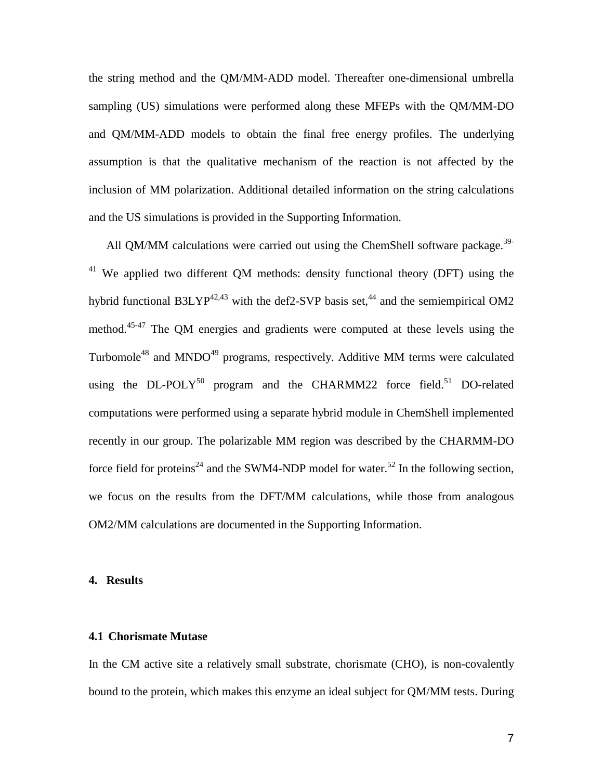the string method and the QM/MM-ADD model. Thereafter one-dimensional umbrella sampling (US) simulations were performed along these MFEPs with the QM/MM-DO and QM/MM-ADD models to obtain the final free energy profiles. The underlying assumption is that the qualitative mechanism of the reaction is not affected by the inclusion of MM polarization. Additional detailed information on the string calculations and the US simulations is provided in the Supporting Information.

All QM/MM calculations were carried out using the ChemShell software package.<sup>39-</sup> <sup>41</sup> We applied two different OM methods: density functional theory (DFT) using the hybrid functional B3LYP<sup>42,43</sup> with the def2-SVP basis set,<sup>44</sup> and the semiempirical OM2 method.<sup>45-47</sup> The QM energies and gradients were computed at these levels using the Turbomole<sup>48</sup> and MNDO<sup>49</sup> programs, respectively. Additive MM terms were calculated using the  $DL$ -POLY<sup>50</sup> program and the CHARMM22 force field.<sup>51</sup> DO-related computations were performed using a separate hybrid module in ChemShell implemented recently in our group. The polarizable MM region was described by the CHARMM-DO force field for proteins<sup>24</sup> and the SWM4-NDP model for water.<sup>52</sup> In the following section, we focus on the results from the DFT/MM calculations, while those from analogous OM2/MM calculations are documented in the Supporting Information.

#### **4. Results**

#### **4.1 Chorismate Mutase**

In the CM active site a relatively small substrate, chorismate (CHO), is non-covalently bound to the protein, which makes this enzyme an ideal subject for QM/MM tests. During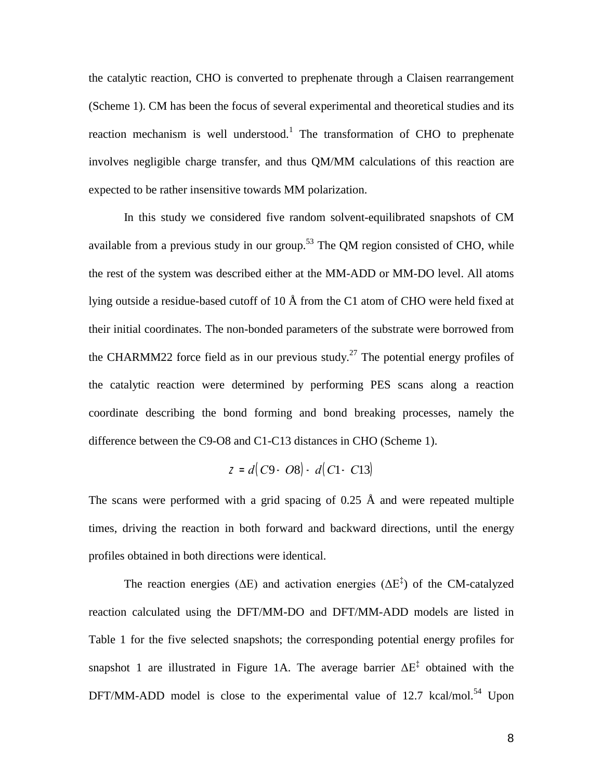the catalytic reaction, CHO is converted to prephenate through a Claisen rearrangement (Scheme 1). CM has been the focus of several experimental and theoretical studies and its reaction mechanism is well understood.<sup>1</sup> The transformation of CHO to prephenate involves negligible charge transfer, and thus QM/MM calculations of this reaction are expected to be rather insensitive towards MM polarization.

In this study we considered five random solvent-equilibrated snapshots of CM available from a previous study in our group.<sup>53</sup> The QM region consisted of CHO, while the rest of the system was described either at the MM-ADD or MM-DO level. All atoms lying outside a residue-based cutoff of 10 Å from the C1 atom of CHO were held fixed at their initial coordinates. The non-bonded parameters of the substrate were borrowed from the CHARMM22 force field as in our previous study.<sup>27</sup> The potential energy profiles of the catalytic reaction were determined by performing PES scans along a reaction coordinate describing the bond forming and bond breaking processes, namely the difference between the C9-O8 and C1-C13 distances in CHO (Scheme 1).

$$
Z = d(C9 - O8) - d(C1 - C13)
$$

The scans were performed with a grid spacing of 0.25  $\AA$  and were repeated multiple times, driving the reaction in both forward and backward directions, until the energy profiles obtained in both directions were identical.

The reaction energies ( $\Delta E$ ) and activation energies ( $\Delta E^{\ddagger}$ ) of the CM-catalyzed reaction calculated using the DFT/MM-DO and DFT/MM-ADD models are listed in Table 1 for the five selected snapshots; the corresponding potential energy profiles for snapshot 1 are illustrated in Figure 1A. The average barrier  $\Delta E^{\ddagger}$  obtained with the DFT/MM-ADD model is close to the experimental value of  $12.7 \text{ kcal/mol}^{54}$  Upon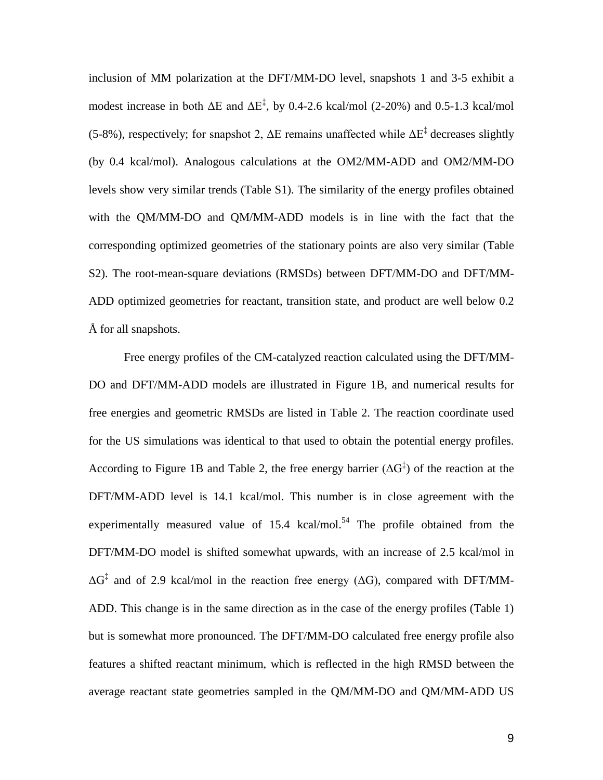inclusion of MM polarization at the DFT/MM-DO level, snapshots 1 and 3-5 exhibit a modest increase in both  $\Delta E$  and  $\Delta E^{\ddagger}$ , by 0.4-2.6 kcal/mol (2-20%) and 0.5-1.3 kcal/mol (5-8%), respectively; for snapshot 2,  $\Delta E$  remains unaffected while  $\Delta E^{\ddagger}$  decreases slightly (by 0.4 kcal/mol). Analogous calculations at the OM2/MM-ADD and OM2/MM-DO levels show very similar trends (Table S1). The similarity of the energy profiles obtained with the QM/MM-DO and QM/MM-ADD models is in line with the fact that the corresponding optimized geometries of the stationary points are also very similar (Table S2). The root-mean-square deviations (RMSDs) between DFT/MM-DO and DFT/MM-ADD optimized geometries for reactant, transition state, and product are well below 0.2 Å for all snapshots.

Free energy profiles of the CM-catalyzed reaction calculated using the DFT/MM-DO and DFT/MM-ADD models are illustrated in Figure 1B, and numerical results for free energies and geometric RMSDs are listed in Table 2. The reaction coordinate used for the US simulations was identical to that used to obtain the potential energy profiles. According to Figure 1B and Table 2, the free energy barrier  $(\Delta G^{\ddagger})$  of the reaction at the DFT/MM-ADD level is 14.1 kcal/mol. This number is in close agreement with the experimentally measured value of  $15.4 \text{ kcal/mol}^{54}$ . The profile obtained from the DFT/MM-DO model is shifted somewhat upwards, with an increase of 2.5 kcal/mol in  $\Delta G^{\ddagger}$  and of 2.9 kcal/mol in the reaction free energy ( $\Delta G$ ), compared with DFT/MM-ADD. This change is in the same direction as in the case of the energy profiles (Table 1) but is somewhat more pronounced. The DFT/MM-DO calculated free energy profile also features a shifted reactant minimum, which is reflected in the high RMSD between the average reactant state geometries sampled in the QM/MM-DO and QM/MM-ADD US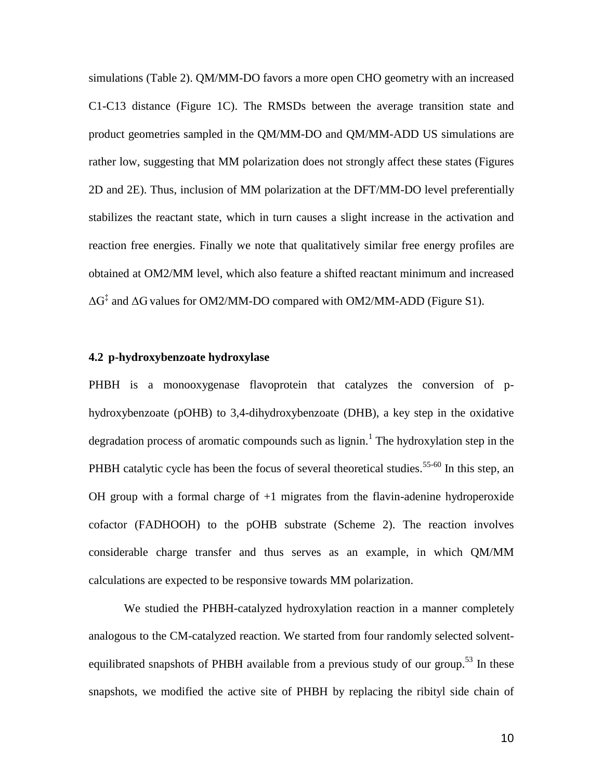simulations (Table 2). QM/MM-DO favors a more open CHO geometry with an increased C1-C13 distance (Figure 1C). The RMSDs between the average transition state and product geometries sampled in the QM/MM-DO and QM/MM-ADD US simulations are rather low, suggesting that MM polarization does not strongly affect these states (Figures 2D and 2E). Thus, inclusion of MM polarization at the DFT/MM-DO level preferentially stabilizes the reactant state, which in turn causes a slight increase in the activation and reaction free energies. Finally we note that qualitatively similar free energy profiles are obtained at OM2/MM level, which also feature a shifted reactant minimum and increased  $\Delta G^{\ddagger}$  and  $\Delta G$  values for OM2/MM-DO compared with OM2/MM-ADD (Figure S1).

#### **4.2 p-hydroxybenzoate hydroxylase**

PHBH is a monooxygenase flavoprotein that catalyzes the conversion of phydroxybenzoate (pOHB) to 3,4-dihydroxybenzoate (DHB), a key step in the oxidative degradation process of aromatic compounds such as lignin.<sup>1</sup> The hydroxylation step in the PHBH catalytic cycle has been the focus of several theoretical studies.<sup>55-60</sup> In this step, an OH group with a formal charge of  $+1$  migrates from the flavin-adenine hydroperoxide cofactor (FADHOOH) to the pOHB substrate (Scheme 2). The reaction involves considerable charge transfer and thus serves as an example, in which QM/MM calculations are expected to be responsive towards MM polarization.

We studied the PHBH-catalyzed hydroxylation reaction in a manner completely analogous to the CM-catalyzed reaction. We started from four randomly selected solventequilibrated snapshots of PHBH available from a previous study of our group.<sup>53</sup> In these snapshots, we modified the active site of PHBH by replacing the ribityl side chain of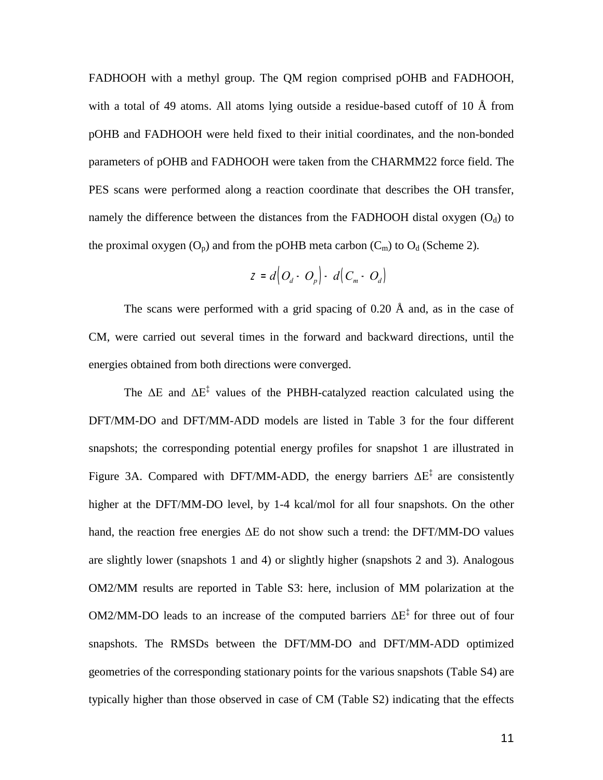FADHOOH with a methyl group. The QM region comprised pOHB and FADHOOH, with a total of 49 atoms. All atoms lying outside a residue-based cutoff of 10 Å from pOHB and FADHOOH were held fixed to their initial coordinates, and the non-bonded parameters of pOHB and FADHOOH were taken from the CHARMM22 force field. The PES scans were performed along a reaction coordinate that describes the OH transfer, namely the difference between the distances from the FADHOOH distal oxygen  $(O_d)$  to the proximal oxygen  $(O_p)$  and from the pOHB meta carbon  $(C_m)$  to  $O_d$  (Scheme 2).

$$
Z = d\Big(O_d - O_p\Big) - d\Big(C_m - O_d\Big)
$$

The scans were performed with a grid spacing of  $0.20 \text{ Å}$  and, as in the case of CM, were carried out several times in the forward and backward directions, until the energies obtained from both directions were converged.

The  $\Delta E$  and  $\Delta E^{\ddagger}$  values of the PHBH-catalyzed reaction calculated using the DFT/MM-DO and DFT/MM-ADD models are listed in Table 3 for the four different snapshots; the corresponding potential energy profiles for snapshot 1 are illustrated in Figure 3A. Compared with DFT/MM-ADD, the energy barriers  $\Delta E^{\ddagger}$  are consistently higher at the DFT/MM-DO level, by 1-4 kcal/mol for all four snapshots. On the other hand, the reaction free energies ΔE do not show such a trend: the DFT/MM-DO values are slightly lower (snapshots 1 and 4) or slightly higher (snapshots 2 and 3). Analogous OM2/MM results are reported in Table S3: here, inclusion of MM polarization at the OM2/MM-DO leads to an increase of the computed barriers  $\Delta E^{\ddagger}$  for three out of four snapshots. The RMSDs between the DFT/MM-DO and DFT/MM-ADD optimized geometries of the corresponding stationary points for the various snapshots (Table S4) are typically higher than those observed in case of CM (Table S2) indicating that the effects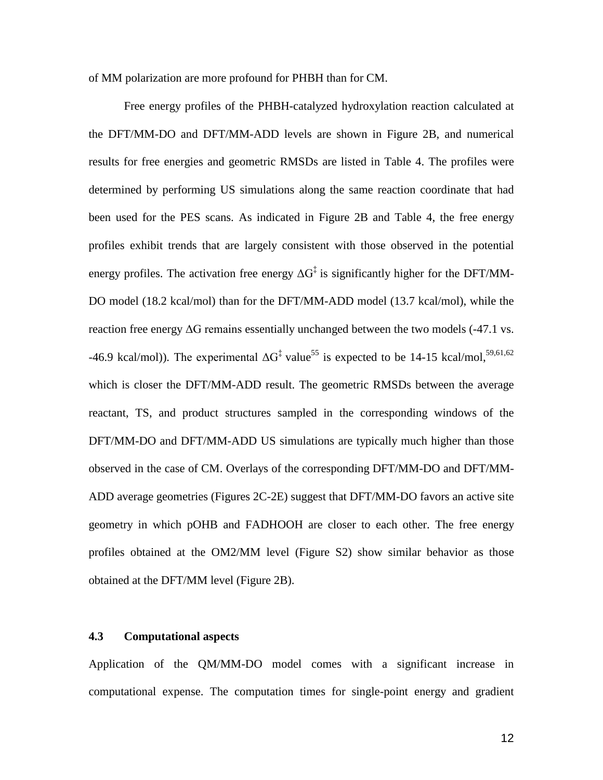of MM polarization are more profound for PHBH than for CM.

Free energy profiles of the PHBH-catalyzed hydroxylation reaction calculated at the DFT/MM-DO and DFT/MM-ADD levels are shown in Figure 2B, and numerical results for free energies and geometric RMSDs are listed in Table 4. The profiles were determined by performing US simulations along the same reaction coordinate that had been used for the PES scans. As indicated in Figure 2B and Table 4, the free energy profiles exhibit trends that are largely consistent with those observed in the potential energy profiles. The activation free energy  $\Delta G^{\ddagger}$  is significantly higher for the DFT/MM-DO model (18.2 kcal/mol) than for the DFT/MM-ADD model (13.7 kcal/mol), while the reaction free energy  $\Delta G$  remains essentially unchanged between the two models (-47.1 vs. -46.9 kcal/mol)). The experimental  $\Delta G^{\ddagger}$  value<sup>55</sup> is expected to be 14-15 kcal/mol,<sup>59,61,62</sup> which is closer the DFT/MM-ADD result. The geometric RMSDs between the average reactant, TS, and product structures sampled in the corresponding windows of the DFT/MM-DO and DFT/MM-ADD US simulations are typically much higher than those observed in the case of CM. Overlays of the corresponding DFT/MM-DO and DFT/MM-ADD average geometries (Figures 2C-2E) suggest that DFT/MM-DO favors an active site geometry in which pOHB and FADHOOH are closer to each other. The free energy profiles obtained at the OM2/MM level (Figure S2) show similar behavior as those obtained at the DFT/MM level (Figure 2B).

#### **4.3 Computational aspects**

Application of the QM/MM-DO model comes with a significant increase in computational expense. The computation times for single-point energy and gradient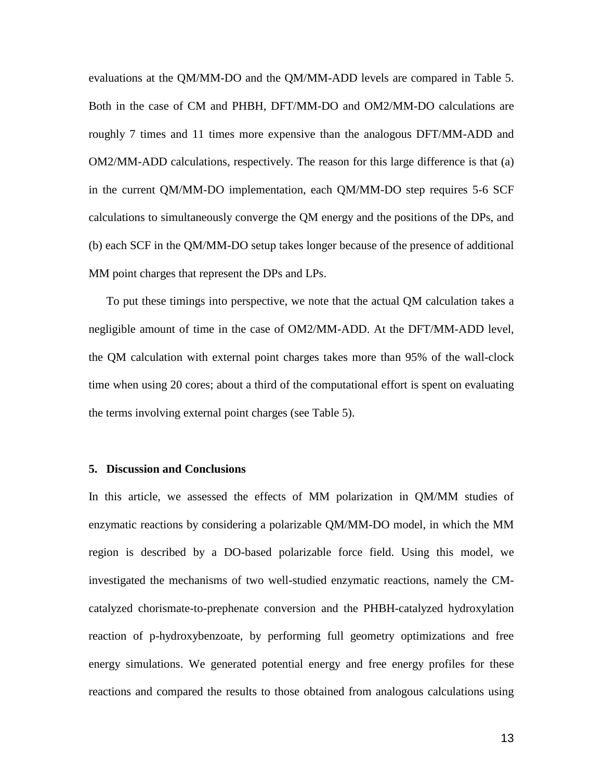evaluations at the QM/MM-DO and the QM/MM-ADD levels are compared in Table 5. Both in the case of CM and PHBH, DFT/MM-DO and OM2/MM-DO calculations are roughly 7 times and 11 times more expensive than the analogous DFT/MM-ADD and OM2/MM-ADD calculations, respectively. The reason for this large difference is that (a) in the current QM/MM-DO implementation, each QM/MM-DO step requires 5-6 SCF calculations to simultaneously converge the QM energy and the positions of the DPs, and (b) each SCF in the QM/MM-DO setup takes longer because of the presence of additional MM point charges that represent the DPs and LPs.

To put these timings into perspective, we note that the actual QM calculation takes a negligible amount of time in the case of OM2/MM-ADD. At the DFT/MM-ADD level, the QM calculation with external point charges takes more than 95% of the wall-clock time when using 20 cores; about a third of the computational effort is spent on evaluating the terms involving external point charges (see Table 5).

#### **5. Discussion and Conclusions**

In this article, we assessed the effects of MM polarization in QM/MM studies of enzymatic reactions by considering a polarizable QM/MM-DO model, in which the MM region is described by a DO-based polarizable force field. Using this model, we investigated the mechanisms of two well-studied enzymatic reactions, namely the CMcatalyzed chorismate-to-prephenate conversion and the PHBH-catalyzed hydroxylation reaction of p-hydroxybenzoate, by performing full geometry optimizations and free energy simulations. We generated potential energy and free energy profiles for these reactions and compared the results to those obtained from analogous calculations using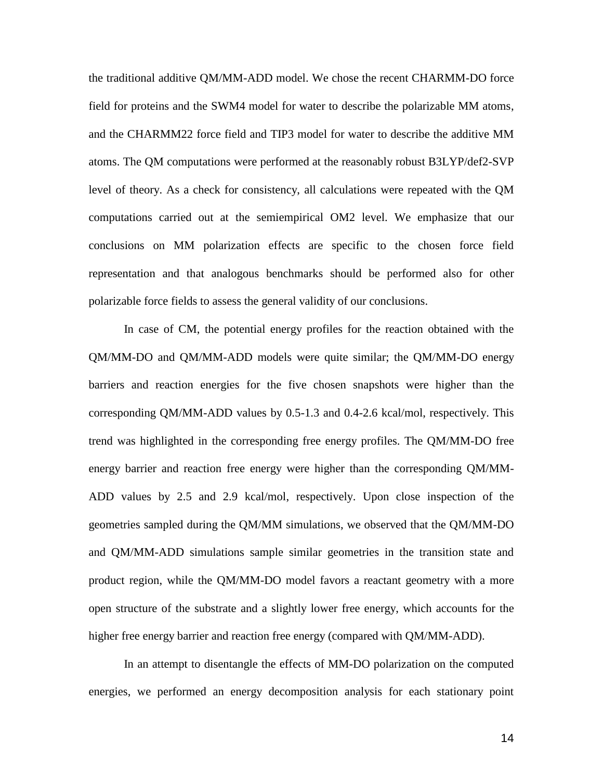the traditional additive QM/MM-ADD model. We chose the recent CHARMM-DO force field for proteins and the SWM4 model for water to describe the polarizable MM atoms, and the CHARMM22 force field and TIP3 model for water to describe the additive MM atoms. The QM computations were performed at the reasonably robust B3LYP/def2-SVP level of theory. As a check for consistency, all calculations were repeated with the QM computations carried out at the semiempirical OM2 level. We emphasize that our conclusions on MM polarization effects are specific to the chosen force field representation and that analogous benchmarks should be performed also for other polarizable force fields to assess the general validity of our conclusions.

In case of CM, the potential energy profiles for the reaction obtained with the QM/MM-DO and QM/MM-ADD models were quite similar; the QM/MM-DO energy barriers and reaction energies for the five chosen snapshots were higher than the corresponding QM/MM-ADD values by 0.5-1.3 and 0.4-2.6 kcal/mol, respectively. This trend was highlighted in the corresponding free energy profiles. The QM/MM-DO free energy barrier and reaction free energy were higher than the corresponding QM/MM-ADD values by 2.5 and 2.9 kcal/mol, respectively. Upon close inspection of the geometries sampled during the QM/MM simulations, we observed that the QM/MM-DO and QM/MM-ADD simulations sample similar geometries in the transition state and product region, while the QM/MM-DO model favors a reactant geometry with a more open structure of the substrate and a slightly lower free energy, which accounts for the higher free energy barrier and reaction free energy (compared with QM/MM-ADD).

In an attempt to disentangle the effects of MM-DO polarization on the computed energies, we performed an energy decomposition analysis for each stationary point

14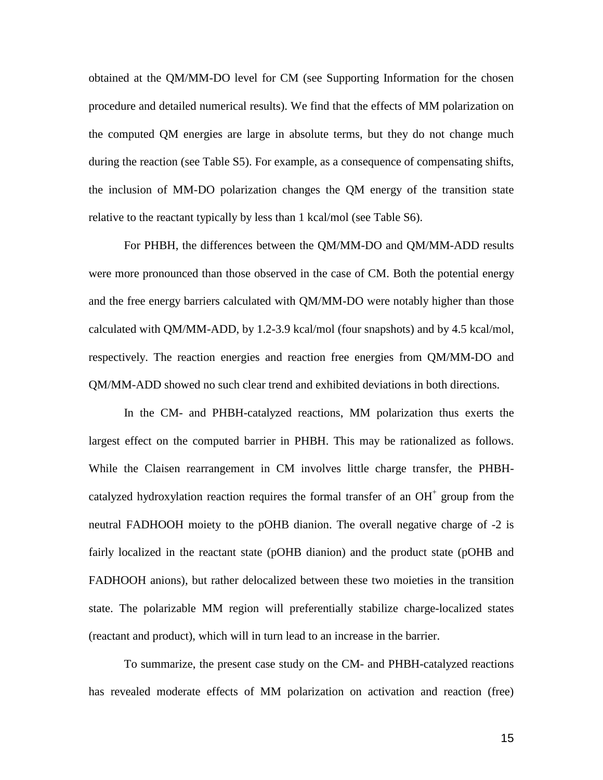obtained at the QM/MM-DO level for CM (see Supporting Information for the chosen procedure and detailed numerical results). We find that the effects of MM polarization on the computed QM energies are large in absolute terms, but they do not change much during the reaction (see Table S5). For example, as a consequence of compensating shifts, the inclusion of MM-DO polarization changes the QM energy of the transition state relative to the reactant typically by less than 1 kcal/mol (see Table S6).

For PHBH, the differences between the QM/MM-DO and QM/MM-ADD results were more pronounced than those observed in the case of CM. Both the potential energy and the free energy barriers calculated with QM/MM-DO were notably higher than those calculated with QM/MM-ADD, by 1.2-3.9 kcal/mol (four snapshots) and by 4.5 kcal/mol, respectively. The reaction energies and reaction free energies from QM/MM-DO and QM/MM-ADD showed no such clear trend and exhibited deviations in both directions.

In the CM- and PHBH-catalyzed reactions, MM polarization thus exerts the largest effect on the computed barrier in PHBH. This may be rationalized as follows. While the Claisen rearrangement in CM involves little charge transfer, the PHBHcatalyzed hydroxylation reaction requires the formal transfer of an  $OH<sup>+</sup>$  group from the neutral FADHOOH moiety to the pOHB dianion. The overall negative charge of -2 is fairly localized in the reactant state (pOHB dianion) and the product state (pOHB and FADHOOH anions), but rather delocalized between these two moieties in the transition state. The polarizable MM region will preferentially stabilize charge-localized states (reactant and product), which will in turn lead to an increase in the barrier.

To summarize, the present case study on the CM- and PHBH-catalyzed reactions has revealed moderate effects of MM polarization on activation and reaction (free)

15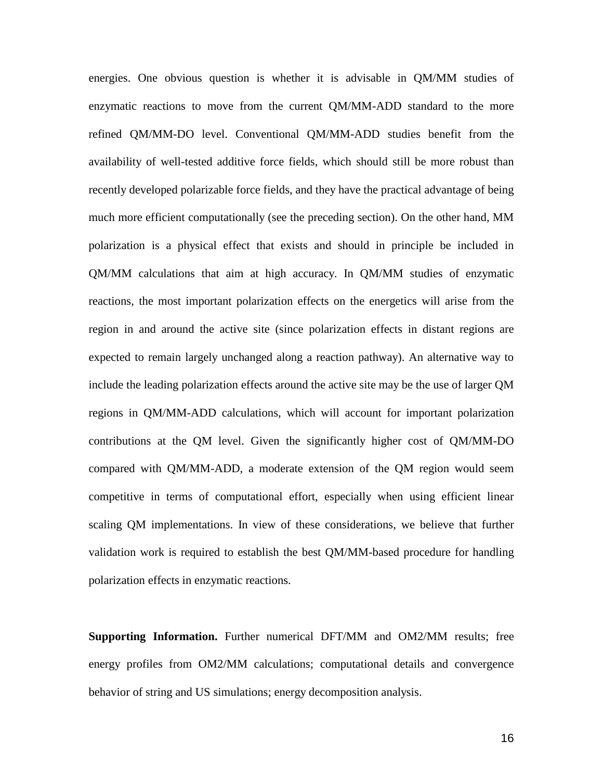energies. One obvious question is whether it is advisable in QM/MM studies of enzymatic reactions to move from the current QM/MM-ADD standard to the more refined QM/MM-DO level. Conventional QM/MM-ADD studies benefit from the availability of well-tested additive force fields, which should still be more robust than recently developed polarizable force fields, and they have the practical advantage of being much more efficient computationally (see the preceding section). On the other hand, MM polarization is a physical effect that exists and should in principle be included in QM/MM calculations that aim at high accuracy. In QM/MM studies of enzymatic reactions, the most important polarization effects on the energetics will arise from the region in and around the active site (since polarization effects in distant regions are expected to remain largely unchanged along a reaction pathway). An alternative way to include the leading polarization effects around the active site may be the use of larger QM regions in QM/MM-ADD calculations, which will account for important polarization contributions at the QM level. Given the significantly higher cost of QM/MM-DO compared with QM/MM-ADD, a moderate extension of the QM region would seem competitive in terms of computational effort, especially when using efficient linear scaling QM implementations. In view of these considerations, we believe that further validation work is required to establish the best QM/MM-based procedure for handling polarization effects in enzymatic reactions.

**Supporting Information.** Further numerical DFT/MM and OM2/MM results; free energy profiles from OM2/MM calculations; computational details and convergence behavior of string and US simulations; energy decomposition analysis.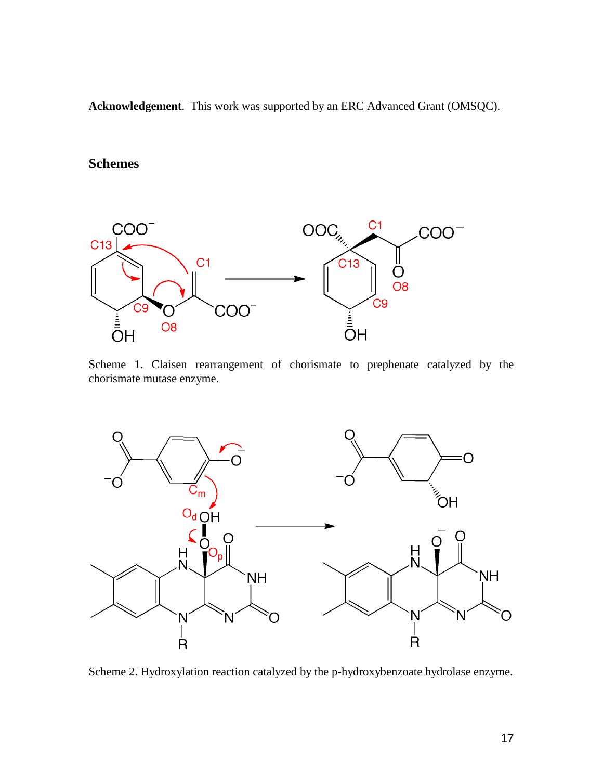**Acknowledgement**. This work was supported by an ERC Advanced Grant (OMSQC).

## **Schemes**



Scheme 1. Claisen rearrangement of chorismate to prephenate catalyzed by the chorismate mutase enzyme.



Scheme 2. Hydroxylation reaction catalyzed by the p-hydroxybenzoate hydrolase enzyme.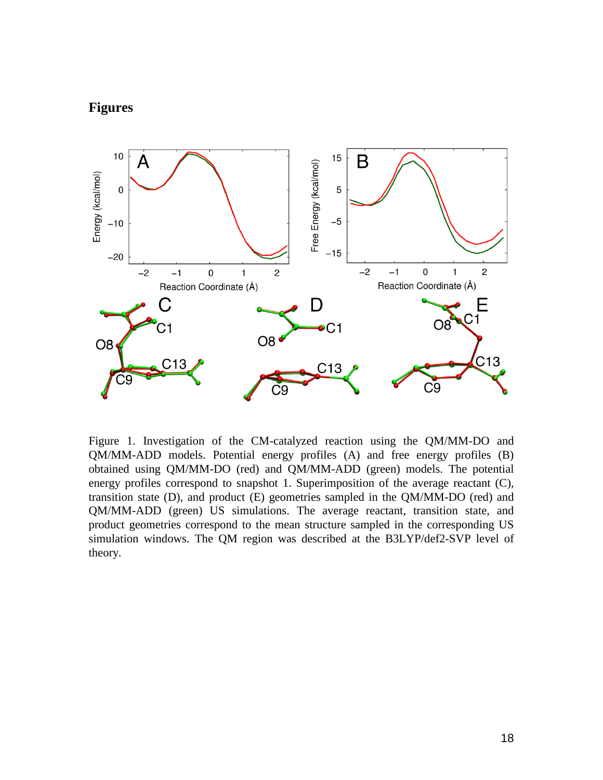## **Figures**



Figure 1. Investigation of the CM-catalyzed reaction using the QM/MM-DO and QM/MM-ADD models. Potential energy profiles (A) and free energy profiles (B) obtained using QM/MM-DO (red) and QM/MM-ADD (green) models. The potential energy profiles correspond to snapshot 1. Superimposition of the average reactant (C), transition state (D), and product (E) geometries sampled in the QM/MM-DO (red) and QM/MM-ADD (green) US simulations. The average reactant, transition state, and product geometries correspond to the mean structure sampled in the corresponding US simulation windows. The QM region was described at the B3LYP/def2-SVP level of theory.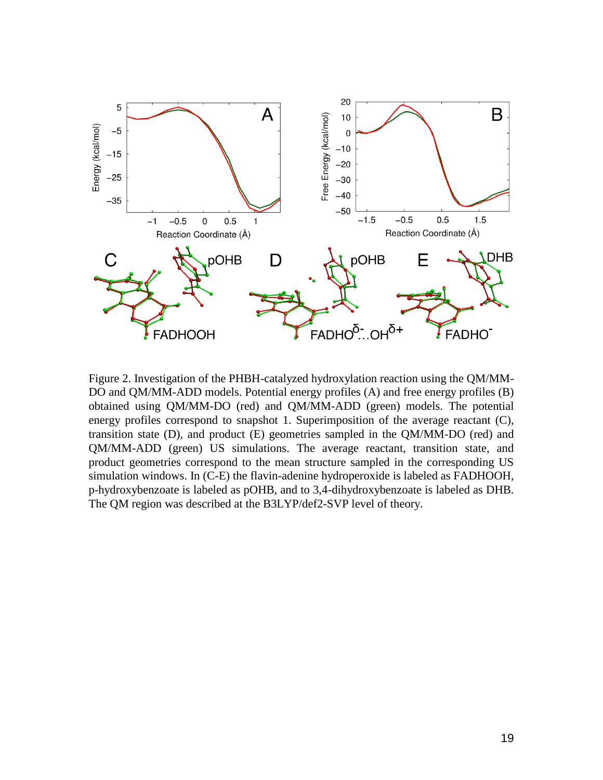

Figure 2. Investigation of the PHBH-catalyzed hydroxylation reaction using the QM/MM-DO and QM/MM-ADD models. Potential energy profiles (A) and free energy profiles (B) obtained using QM/MM-DO (red) and QM/MM-ADD (green) models. The potential energy profiles correspond to snapshot 1. Superimposition of the average reactant (C), transition state (D), and product (E) geometries sampled in the QM/MM-DO (red) and QM/MM-ADD (green) US simulations. The average reactant, transition state, and product geometries correspond to the mean structure sampled in the corresponding US simulation windows. In (C-E) the flavin-adenine hydroperoxide is labeled as FADHOOH, p-hydroxybenzoate is labeled as pOHB, and to 3,4-dihydroxybenzoate is labeled as DHB. The QM region was described at the B3LYP/def2-SVP level of theory.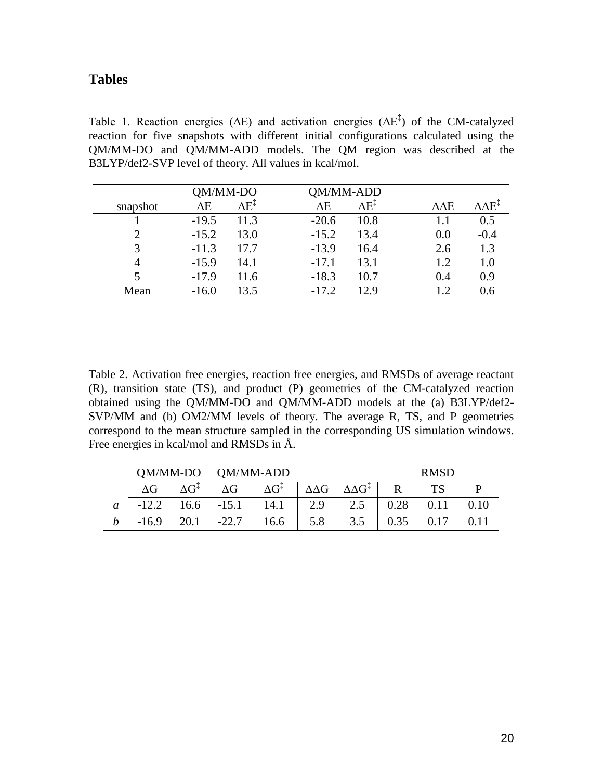### **Tables**

Table 1. Reaction energies ( $\Delta E$ ) and activation energies ( $\Delta E^{\ddagger}$ ) of the CM-catalyzed reaction for five snapshots with different initial configurations calculated using the QM/MM-DO and QM/MM-ADD models. The QM region was described at the B3LYP/def2-SVP level of theory. All values in kcal/mol.

|                | )M/MM-DO |                       |         | /MM-ADD |                  |                              |
|----------------|----------|-----------------------|---------|---------|------------------|------------------------------|
| snapshot       | ΔΕ       | $\Delta E^{\ddagger}$ | ΔΕ      | ΔE‡     | $\Delta\Delta E$ | $\Lambda\Lambda\mathrm{E}^+$ |
|                | $-19.5$  | 11.3                  | $-20.6$ | 10.8    |                  | 0.5                          |
| $\overline{2}$ | $-15.2$  | 13.0                  | $-15.2$ | 13.4    | 0.0              | $-0.4$                       |
| 3              | $-11.3$  | 17.7                  | $-13.9$ | 16.4    | 2.6              | 1.3                          |
| 4              | $-15.9$  | 14.1                  | $-17.1$ | 13.1    | 1.2              | 1.0                          |
| 5              | $-17.9$  | 11.6                  | $-18.3$ | 10.7    | 0.4              | 0.9                          |
| Mean           | $-16.0$  | 13.5                  | $-17.2$ | 12.9    | 1.2              | 0.6                          |

Table 2. Activation free energies, reaction free energies, and RMSDs of average reactant (R), transition state (TS), and product (P) geometries of the CM-catalyzed reaction obtained using the QM/MM-DO and QM/MM-ADD models at the (a) B3LYP/def2- SVP/MM and (b) OM2/MM levels of theory. The average R, TS, and P geometries correspond to the mean structure sampled in the corresponding US simulation windows. Free energies in kcal/mol and RMSDs in Å.

|   |            |                                | QM/MM-DO QM/MM-ADD |                       |                  |                        | <b>RMSD</b> |      |      |
|---|------------|--------------------------------|--------------------|-----------------------|------------------|------------------------|-------------|------|------|
|   | $\Delta G$ | $\Delta \mathrm{G}^{\ddagger}$ | $\Delta G$         | $\Delta G^{\ddagger}$ | $\Delta\Delta G$ | $\Delta\Delta G^\ddag$ | R           | TS   |      |
| a | $-12.2$    | 16.6                           | $-15.1$            | 14.1                  | 2.9              | 2.5                    | 0.28        | 0.11 | 0.10 |
|   | $-16.9$    | 20.1                           | $-22.7$            | 16.6                  | 5.8              | 3.5                    | 0.35        |      |      |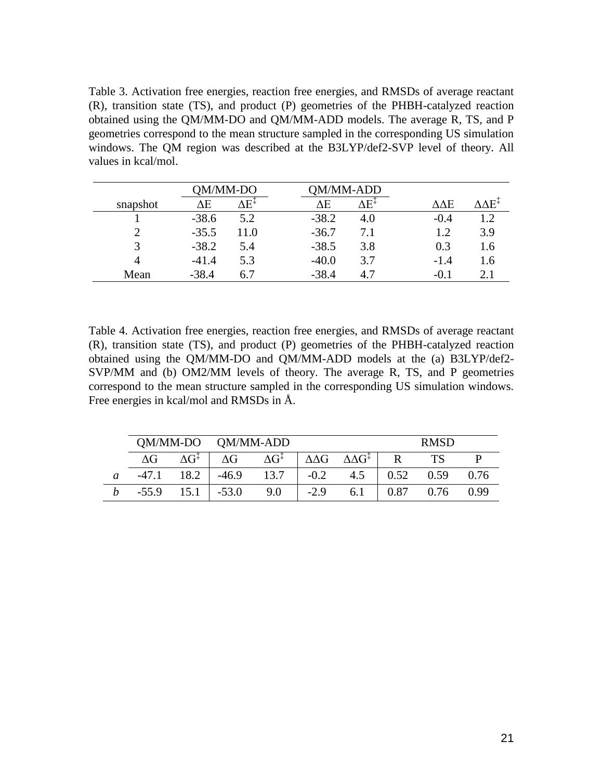Table 3. Activation free energies, reaction free energies, and RMSDs of average reactant (R), transition state (TS), and product (P) geometries of the PHBH-catalyzed reaction obtained using the QM/MM-DO and QM/MM-ADD models. The average R, TS, and P geometries correspond to the mean structure sampled in the corresponding US simulation windows. The QM region was described at the B3LYP/def2-SVP level of theory. All values in kcal/mol.

|          |         | )M/MM-DO |         | A/MM-ADD |        |        |
|----------|---------|----------|---------|----------|--------|--------|
| snapshot | ΔE      | ١E†      | ٨E      | F۰       | ∆∆Е    | . ∧ F+ |
|          | $-38.6$ | 5.2      | $-38.2$ | 4.0      | $-0.4$ | 12     |
| ◠        | $-35.5$ | 11.0     | $-36.7$ | 7.1      | 1.2    | 3.9    |
| 3        | $-38.2$ | 5.4      | $-38.5$ | 3.8      | 0.3    | 1.6    |
| 4        | $-41.4$ | 5.3      | $-40.0$ | 3.7      | $-1.4$ | 1.6    |
| Mean     | $-38.4$ | 6.7      | $-38.4$ |          |        | 2.1    |

Table 4. Activation free energies, reaction free energies, and RMSDs of average reactant (R), transition state (TS), and product (P) geometries of the PHBH-catalyzed reaction obtained using the QM/MM-DO and QM/MM-ADD models at the (a) B3LYP/def2- SVP/MM and (b) OM2/MM levels of theory. The average R, TS, and P geometries correspond to the mean structure sampled in the corresponding US simulation windows. Free energies in kcal/mol and RMSDs in Å.

|   | QM/MM-DO   |                                | QM/MM-ADD  |                       |                  |                             | <b>RMSD</b> |      |      |
|---|------------|--------------------------------|------------|-----------------------|------------------|-----------------------------|-------------|------|------|
|   | $\Delta G$ | $\Delta \mathrm{G}^{\ddagger}$ | $\Delta G$ | $\Delta G^{\ddagger}$ | $\Delta\Delta G$ | $\Delta\Delta G^{\ddagger}$ |             | TС   |      |
| a | $-47.1$    | 18.2                           | $-46.9$    | 13.7                  | $-0.2$           | 4.5                         | 0.52        | 0.59 | 0.76 |
|   | $-55.9$    | 15.1                           | $-53.0$    | 9.0                   | $-2.9$           | 6.1                         | 0.87        | 0.76 | 0.99 |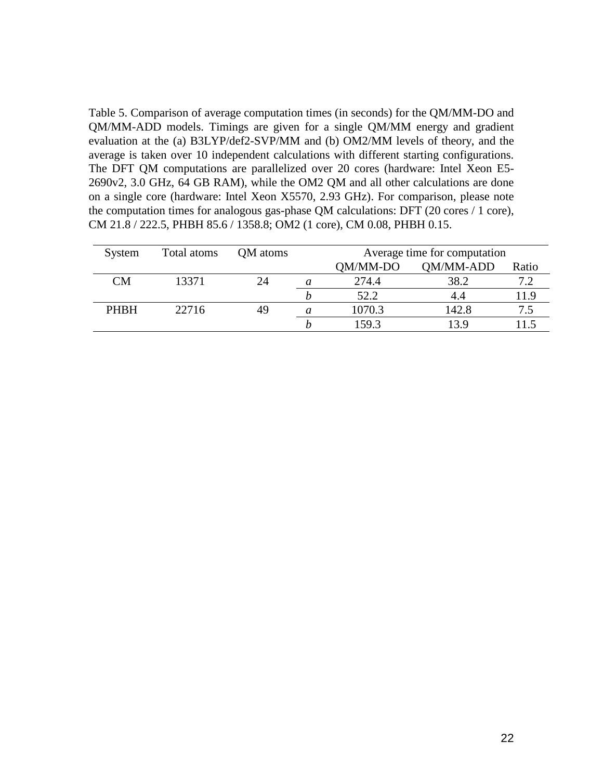Table 5. Comparison of average computation times (in seconds) for the QM/MM-DO and QM/MM-ADD models. Timings are given for a single QM/MM energy and gradient evaluation at the (a) B3LYP/def2-SVP/MM and (b) OM2/MM levels of theory, and the average is taken over 10 independent calculations with different starting configurations. The DFT QM computations are parallelized over 20 cores (hardware: Intel Xeon E5- 2690v2, 3.0 GHz, 64 GB RAM), while the OM2 QM and all other calculations are done on a single core (hardware: Intel Xeon X5570, 2.93 GHz). For comparison, please note the computation times for analogous gas-phase QM calculations: DFT (20 cores / 1 core), CM 21.8 / 222.5, PHBH 85.6 / 1358.8; OM2 (1 core), CM 0.08, PHBH 0.15.

| System      | Total atoms | QM atoms | Average time for computation |                  |       |
|-------------|-------------|----------|------------------------------|------------------|-------|
|             |             |          | OM/MM-DO                     | <b>OM/MM-ADD</b> | Ratio |
| <b>CM</b>   | 13371       | 24       | 274.4                        | 38.2             |       |
|             |             |          | 52.2                         |                  |       |
| <b>PHBH</b> | 22716       | 49       | 1070.3                       | 142.8            |       |
|             |             |          | 159.3                        | 3.9              |       |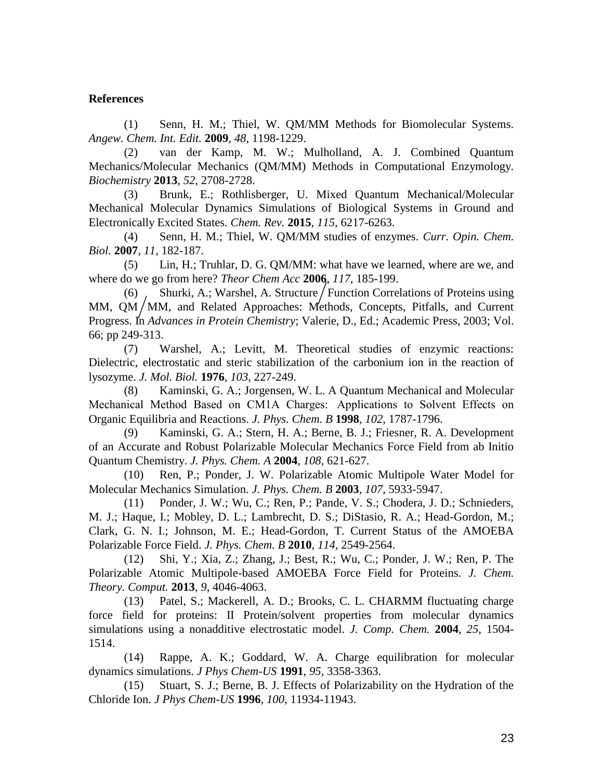#### **References**

(1) Senn, H. M.; Thiel, W. QM/MM Methods for Biomolecular Systems. *Angew. Chem. Int. Edit.* **2009**, *48*, 1198-1229.

(2) van der Kamp, M. W.; Mulholland, A. J. Combined Quantum Mechanics/Molecular Mechanics (QM/MM) Methods in Computational Enzymology. *Biochemistry* **2013**, *52*, 2708-2728.

(3) Brunk, E.; Rothlisberger, U. Mixed Quantum Mechanical/Molecular Mechanical Molecular Dynamics Simulations of Biological Systems in Ground and Electronically Excited States. *Chem. Rev.* **2015**, *115*, 6217-6263.

(4) Senn, H. M.; Thiel, W. QM/MM studies of enzymes. *Curr. Opin. Chem. Biol.* **2007**, *11*, 182-187.

(5) Lin, H.; Truhlar, D. G. QM/MM: what have we learned, where are we, and where do we go from here? *Theor Chem Acc* **2006**, *117*, 185-199.

(6) Shurki, A.; Warshel, A. Structure / Function Correlations of Proteins using MM,  $QM/MM$ , and Related Approaches: Methods, Concepts, Pitfalls, and Current Progress. In *Advances in Protein Chemistry*; Valerie, D., Ed.; Academic Press, 2003; Vol. 66; pp 249-313.

(7) Warshel, A.; Levitt, M. Theoretical studies of enzymic reactions: Dielectric, electrostatic and steric stabilization of the carbonium ion in the reaction of lysozyme. *J. Mol. Biol.* **1976**, *103*, 227-249.

(8) Kaminski, G. A.; Jorgensen, W. L. A Quantum Mechanical and Molecular Mechanical Method Based on CM1A Charges:  Applications to Solvent Effects on Organic Equilibria and Reactions. *J. Phys. Chem. B* **1998**, *102*, 1787-1796.

(9) Kaminski, G. A.; Stern, H. A.; Berne, B. J.; Friesner, R. A. Development of an Accurate and Robust Polarizable Molecular Mechanics Force Field from ab Initio Quantum Chemistry. *J. Phys. Chem. A* **2004**, *108*, 621-627.

(10) Ren, P.; Ponder, J. W. Polarizable Atomic Multipole Water Model for Molecular Mechanics Simulation. *J. Phys. Chem. B* **2003**, *107*, 5933-5947.

(11) Ponder, J. W.; Wu, C.; Ren, P.; Pande, V. S.; Chodera, J. D.; Schnieders, M. J.; Haque, I.; Mobley, D. L.; Lambrecht, D. S.; DiStasio, R. A.; Head-Gordon, M.; Clark, G. N. I.; Johnson, M. E.; Head-Gordon, T. Current Status of the AMOEBA Polarizable Force Field. *J. Phys. Chem. B* **2010**, *114*, 2549-2564.

(12) Shi, Y.; Xia, Z.; Zhang, J.; Best, R.; Wu, C.; Ponder, J. W.; Ren, P. The Polarizable Atomic Multipole-based AMOEBA Force Field for Proteins. *J. Chem. Theory. Comput.* **2013**, *9*, 4046-4063.

(13) Patel, S.; Mackerell, A. D.; Brooks, C. L. CHARMM fluctuating charge force field for proteins: II Protein/solvent properties from molecular dynamics simulations using a nonadditive electrostatic model. *J. Comp. Chem.* **2004**, *25*, 1504- 1514.

(14) Rappe, A. K.; Goddard, W. A. Charge equilibration for molecular dynamics simulations. *J Phys Chem-US* **1991**, *95*, 3358-3363.

(15) Stuart, S. J.; Berne, B. J. Effects of Polarizability on the Hydration of the Chloride Ion. *J Phys Chem-US* **1996**, *100*, 11934-11943.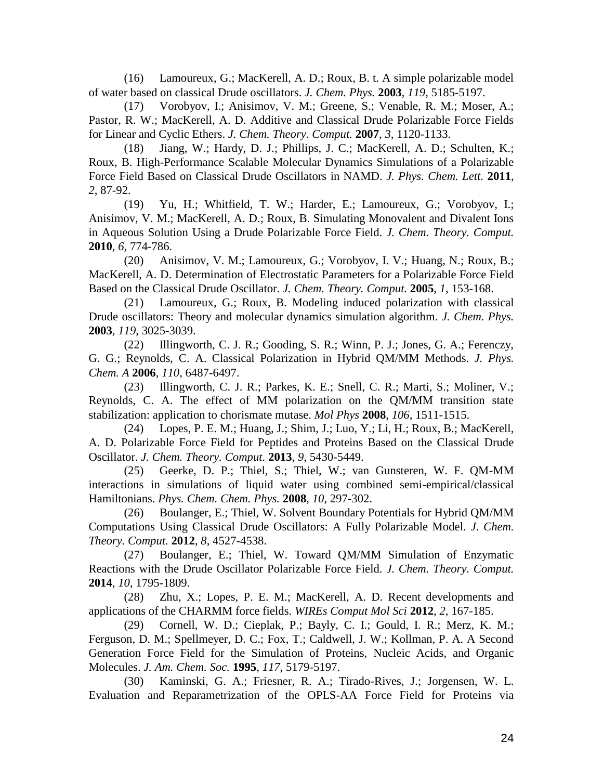(16) Lamoureux, G.; MacKerell, A. D.; Roux, B. t. A simple polarizable model of water based on classical Drude oscillators. *J. Chem. Phys.* **2003**, *119*, 5185-5197.

(17) Vorobyov, I.; Anisimov, V. M.; Greene, S.; Venable, R. M.; Moser, A.; Pastor, R. W.; MacKerell, A. D. Additive and Classical Drude Polarizable Force Fields for Linear and Cyclic Ethers. *J. Chem. Theory. Comput.* **2007**, *3*, 1120-1133.

(18) Jiang, W.; Hardy, D. J.; Phillips, J. C.; MacKerell, A. D.; Schulten, K.; Roux, B. High-Performance Scalable Molecular Dynamics Simulations of a Polarizable Force Field Based on Classical Drude Oscillators in NAMD. *J. Phys. Chem. Lett.* **2011**, *2*, 87-92.

(19) Yu, H.; Whitfield, T. W.; Harder, E.; Lamoureux, G.; Vorobyov, I.; Anisimov, V. M.; MacKerell, A. D.; Roux, B. Simulating Monovalent and Divalent Ions in Aqueous Solution Using a Drude Polarizable Force Field. *J. Chem. Theory. Comput.* **2010**, *6*, 774-786.

(20) Anisimov, V. M.; Lamoureux, G.; Vorobyov, I. V.; Huang, N.; Roux, B.; MacKerell, A. D. Determination of Electrostatic Parameters for a Polarizable Force Field Based on the Classical Drude Oscillator. *J. Chem. Theory. Comput.* **2005**, *1*, 153-168.

(21) Lamoureux, G.; Roux, B. Modeling induced polarization with classical Drude oscillators: Theory and molecular dynamics simulation algorithm. *J. Chem. Phys.* **2003**, *119*, 3025-3039.

(22) Illingworth, C. J. R.; Gooding, S. R.; Winn, P. J.; Jones, G. A.; Ferenczy, G. G.; Reynolds, C. A. Classical Polarization in Hybrid QM/MM Methods. *J. Phys. Chem. A* **2006**, *110*, 6487-6497.

(23) Illingworth, C. J. R.; Parkes, K. E.; Snell, C. R.; Marti, S.; Moliner, V.; Reynolds, C. A. The effect of MM polarization on the QM/MM transition state stabilization: application to chorismate mutase. *Mol Phys* **2008**, *106*, 1511-1515.

(24) Lopes, P. E. M.; Huang, J.; Shim, J.; Luo, Y.; Li, H.; Roux, B.; MacKerell, A. D. Polarizable Force Field for Peptides and Proteins Based on the Classical Drude Oscillator. *J. Chem. Theory. Comput.* **2013**, *9*, 5430-5449.

(25) Geerke, D. P.; Thiel, S.; Thiel, W.; van Gunsteren, W. F. QM-MM interactions in simulations of liquid water using combined semi-empirical/classical Hamiltonians. *Phys. Chem. Chem. Phys.* **2008**, *10*, 297-302.

(26) Boulanger, E.; Thiel, W. Solvent Boundary Potentials for Hybrid QM/MM Computations Using Classical Drude Oscillators: A Fully Polarizable Model. *J. Chem. Theory. Comput.* **2012**, *8*, 4527-4538.

(27) Boulanger, E.; Thiel, W. Toward QM/MM Simulation of Enzymatic Reactions with the Drude Oscillator Polarizable Force Field. *J. Chem. Theory. Comput.* **2014**, *10*, 1795-1809.

(28) Zhu, X.; Lopes, P. E. M.; MacKerell, A. D. Recent developments and applications of the CHARMM force fields. *WIREs Comput Mol Sci* **2012**, *2*, 167-185.

(29) Cornell, W. D.; Cieplak, P.; Bayly, C. I.; Gould, I. R.; Merz, K. M.; Ferguson, D. M.; Spellmeyer, D. C.; Fox, T.; Caldwell, J. W.; Kollman, P. A. A Second Generation Force Field for the Simulation of Proteins, Nucleic Acids, and Organic Molecules. *J. Am. Chem. Soc.* **1995**, *117*, 5179-5197.

(30) Kaminski, G. A.; Friesner, R. A.; Tirado-Rives, J.; Jorgensen, W. L. Evaluation and Reparametrization of the OPLS-AA Force Field for Proteins via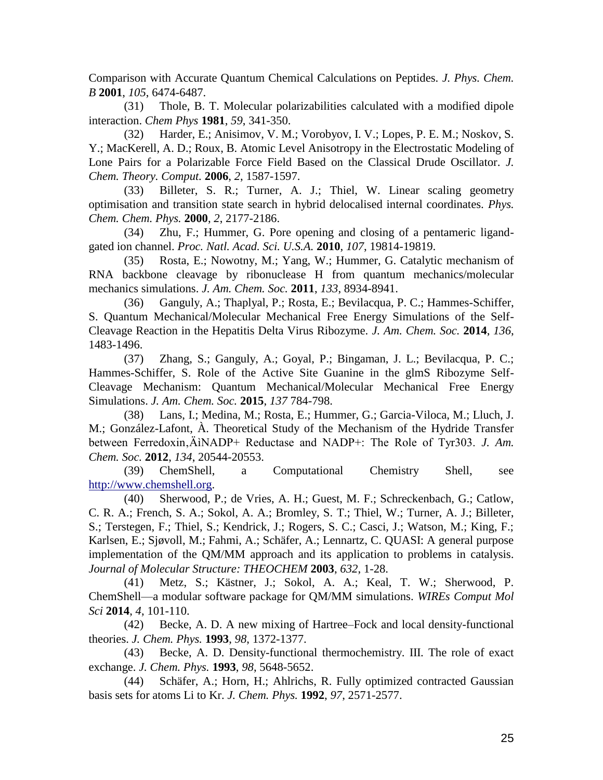Comparison with Accurate Quantum Chemical Calculations on Peptides. *J. Phys. Chem. B* **2001**, *105*, 6474-6487.

(31) Thole, B. T. Molecular polarizabilities calculated with a modified dipole interaction. *Chem Phys* **1981**, *59*, 341-350.

(32) Harder, E.; Anisimov, V. M.; Vorobyov, I. V.; Lopes, P. E. M.; Noskov, S. Y.; MacKerell, A. D.; Roux, B. Atomic Level Anisotropy in the Electrostatic Modeling of Lone Pairs for a Polarizable Force Field Based on the Classical Drude Oscillator. *J. Chem. Theory. Comput.* **2006**, *2*, 1587-1597.

(33) Billeter, S. R.; Turner, A. J.; Thiel, W. Linear scaling geometry optimisation and transition state search in hybrid delocalised internal coordinates. *Phys. Chem. Chem. Phys.* **2000**, *2*, 2177-2186.

(34) Zhu, F.; Hummer, G. Pore opening and closing of a pentameric ligandgated ion channel. *Proc. Natl. Acad. Sci. U.S.A.* **2010**, *107*, 19814-19819.

(35) Rosta, E.; Nowotny, M.; Yang, W.; Hummer, G. Catalytic mechanism of RNA backbone cleavage by ribonuclease H from quantum mechanics/molecular mechanics simulations. *J. Am. Chem. Soc.* **2011**, *133*, 8934-8941.

(36) Ganguly, A.; Thaplyal, P.; Rosta, E.; Bevilacqua, P. C.; Hammes-Schiffer, S. Quantum Mechanical/Molecular Mechanical Free Energy Simulations of the Self-Cleavage Reaction in the Hepatitis Delta Virus Ribozyme. *J. Am. Chem. Soc.* **2014**, *136*, 1483-1496.

(37) Zhang, S.; Ganguly, A.; Goyal, P.; Bingaman, J. L.; Bevilacqua, P. C.; Hammes-Schiffer, S. Role of the Active Site Guanine in the glmS Ribozyme Self-Cleavage Mechanism: Quantum Mechanical/Molecular Mechanical Free Energy Simulations. *J. Am. Chem. Soc.* **2015**, *137* 784-798.

(38) Lans, I.; Medina, M.; Rosta, E.; Hummer, G.; Garcia-Viloca, M.; Lluch, J. M.; González-Lafont, À. Theoretical Study of the Mechanism of the Hydride Transfer between Ferredoxin, ÄINADP+ Reductase and NADP+: The Role of Tyr303. *J. Am. Chem. Soc.* **2012**, *134*, 20544-20553.

(39) ChemShell, a Computational Chemistry Shell, see [http://www.chemshell.org.](http://www.chemshell.org/)

(40) Sherwood, P.; de Vries, A. H.; Guest, M. F.; Schreckenbach, G.; Catlow, C. R. A.; French, S. A.; Sokol, A. A.; Bromley, S. T.; Thiel, W.; Turner, A. J.; Billeter, S.; Terstegen, F.; Thiel, S.; Kendrick, J.; Rogers, S. C.; Casci, J.; Watson, M.; King, F.; Karlsen, E.; Sjøvoll, M.; Fahmi, A.; Schäfer, A.; Lennartz, C. QUASI: A general purpose implementation of the QM/MM approach and its application to problems in catalysis. *Journal of Molecular Structure: THEOCHEM* **2003**, *632*, 1-28.

(41) Metz, S.; Kästner, J.; Sokol, A. A.; Keal, T. W.; Sherwood, P. ChemShell—a modular software package for QM/MM simulations. *WIREs Comput Mol Sci* **2014**, *4*, 101-110.

(42) Becke, A. D. A new mixing of Hartree–Fock and local density-functional theories. *J. Chem. Phys.* **1993**, *98*, 1372-1377.

(43) Becke, A. D. Density-functional thermochemistry. III. The role of exact exchange. *J. Chem. Phys.* **1993**, *98*, 5648-5652.

(44) Schäfer, A.; Horn, H.; Ahlrichs, R. Fully optimized contracted Gaussian basis sets for atoms Li to Kr. *J. Chem. Phys.* **1992**, *97*, 2571-2577.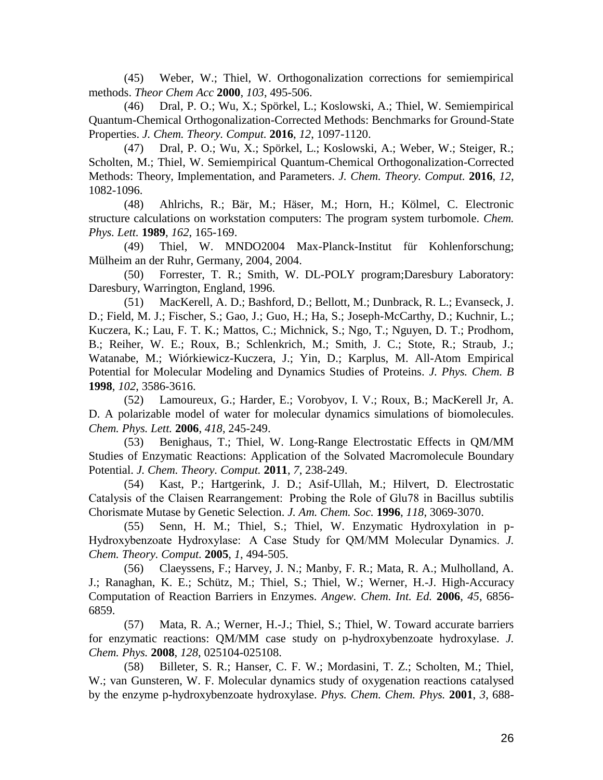(45) Weber, W.; Thiel, W. Orthogonalization corrections for semiempirical methods. *Theor Chem Acc* **2000**, *103*, 495-506.

(46) Dral, P. O.; Wu, X.; Spörkel, L.; Koslowski, A.; Thiel, W. Semiempirical Quantum-Chemical Orthogonalization-Corrected Methods: Benchmarks for Ground-State Properties. *J. Chem. Theory. Comput.* **2016**, *12*, 1097-1120.

(47) Dral, P. O.; Wu, X.; Spörkel, L.; Koslowski, A.; Weber, W.; Steiger, R.; Scholten, M.; Thiel, W. Semiempirical Quantum-Chemical Orthogonalization-Corrected Methods: Theory, Implementation, and Parameters. *J. Chem. Theory. Comput.* **2016**, *12*, 1082-1096.

(48) Ahlrichs, R.; Bär, M.; Häser, M.; Horn, H.; Kölmel, C. Electronic structure calculations on workstation computers: The program system turbomole. *Chem. Phys. Lett.* **1989**, *162*, 165-169.

(49) Thiel, W. MNDO2004 Max-Planck-Institut für Kohlenforschung; Mülheim an der Ruhr, Germany, 2004, 2004.

(50) Forrester, T. R.; Smith, W. DL-POLY program;Daresbury Laboratory: Daresbury, Warrington, England, 1996.

(51) MacKerell, A. D.; Bashford, D.; Bellott, M.; Dunbrack, R. L.; Evanseck, J. D.; Field, M. J.; Fischer, S.; Gao, J.; Guo, H.; Ha, S.; Joseph-McCarthy, D.; Kuchnir, L.; Kuczera, K.; Lau, F. T. K.; Mattos, C.; Michnick, S.; Ngo, T.; Nguyen, D. T.; Prodhom, B.; Reiher, W. E.; Roux, B.; Schlenkrich, M.; Smith, J. C.; Stote, R.; Straub, J.; Watanabe, M.; Wiórkiewicz-Kuczera, J.; Yin, D.; Karplus, M. All-Atom Empirical Potential for Molecular Modeling and Dynamics Studies of Proteins. *J. Phys. Chem. B* **1998**, *102*, 3586-3616.

(52) Lamoureux, G.; Harder, E.; Vorobyov, I. V.; Roux, B.; MacKerell Jr, A. D. A polarizable model of water for molecular dynamics simulations of biomolecules. *Chem. Phys. Lett.* **2006**, *418*, 245-249.

(53) Benighaus, T.; Thiel, W. Long-Range Electrostatic Effects in QM/MM Studies of Enzymatic Reactions: Application of the Solvated Macromolecule Boundary Potential. *J. Chem. Theory. Comput.* **2011**, *7*, 238-249.

(54) Kast, P.; Hartgerink, J. D.; Asif-Ullah, M.; Hilvert, D. Electrostatic Catalysis of the Claisen Rearrangement:  Probing the Role of Glu78 in Bacillus subtilis Chorismate Mutase by Genetic Selection. *J. Am. Chem. Soc.* **1996**, *118*, 3069-3070.

(55) Senn, H. M.; Thiel, S.; Thiel, W. Enzymatic Hydroxylation in p-Hydroxybenzoate Hydroxylase:  A Case Study for QM/MM Molecular Dynamics. *J. Chem. Theory. Comput.* **2005**, *1*, 494-505.

(56) Claeyssens, F.; Harvey, J. N.; Manby, F. R.; Mata, R. A.; Mulholland, A. J.; Ranaghan, K. E.; Schütz, M.; Thiel, S.; Thiel, W.; Werner, H.-J. High-Accuracy Computation of Reaction Barriers in Enzymes. *Angew. Chem. Int. Ed.* **2006**, *45*, 6856- 6859.

(57) Mata, R. A.; Werner, H.-J.; Thiel, S.; Thiel, W. Toward accurate barriers for enzymatic reactions: QM/MM case study on p-hydroxybenzoate hydroxylase. *J. Chem. Phys.* **2008**, *128*, 025104-025108.

(58) Billeter, S. R.; Hanser, C. F. W.; Mordasini, T. Z.; Scholten, M.; Thiel, W.; van Gunsteren, W. F. Molecular dynamics study of oxygenation reactions catalysed by the enzyme p-hydroxybenzoate hydroxylase. *Phys. Chem. Chem. Phys.* **2001**, *3*, 688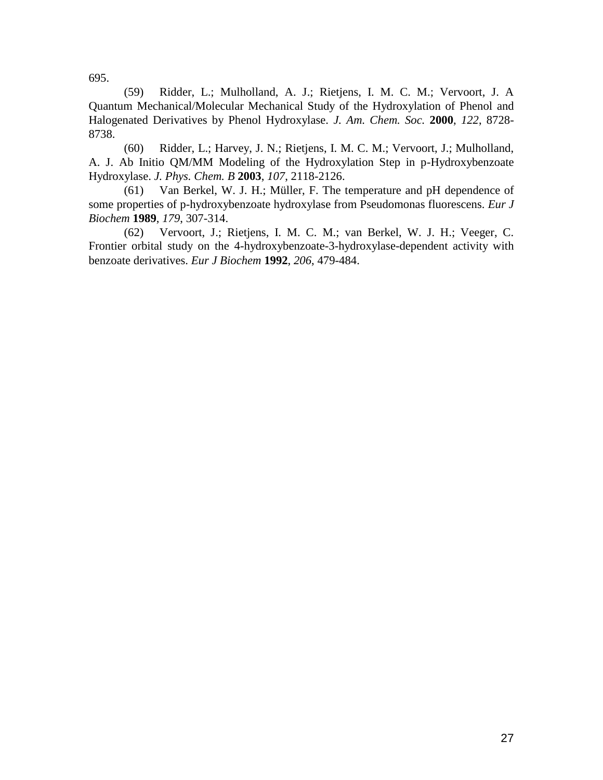695.

(59) Ridder, L.; Mulholland, A. J.; Rietjens, I. M. C. M.; Vervoort, J. A Quantum Mechanical/Molecular Mechanical Study of the Hydroxylation of Phenol and Halogenated Derivatives by Phenol Hydroxylase. *J. Am. Chem. Soc.* **2000**, *122*, 8728- 8738.

(60) Ridder, L.; Harvey, J. N.; Rietjens, I. M. C. M.; Vervoort, J.; Mulholland, A. J. Ab Initio QM/MM Modeling of the Hydroxylation Step in p-Hydroxybenzoate Hydroxylase. *J. Phys. Chem. B* **2003**, *107*, 2118-2126.

(61) Van Berkel, W. J. H.; Müller, F. The temperature and pH dependence of some properties of p-hydroxybenzoate hydroxylase from Pseudomonas fluorescens. *Eur J Biochem* **1989**, *179*, 307-314.

(62) Vervoort, J.; Rietjens, I. M. C. M.; van Berkel, W. J. H.; Veeger, C. Frontier orbital study on the 4-hydroxybenzoate-3-hydroxylase-dependent activity with benzoate derivatives. *Eur J Biochem* **1992**, *206*, 479-484.